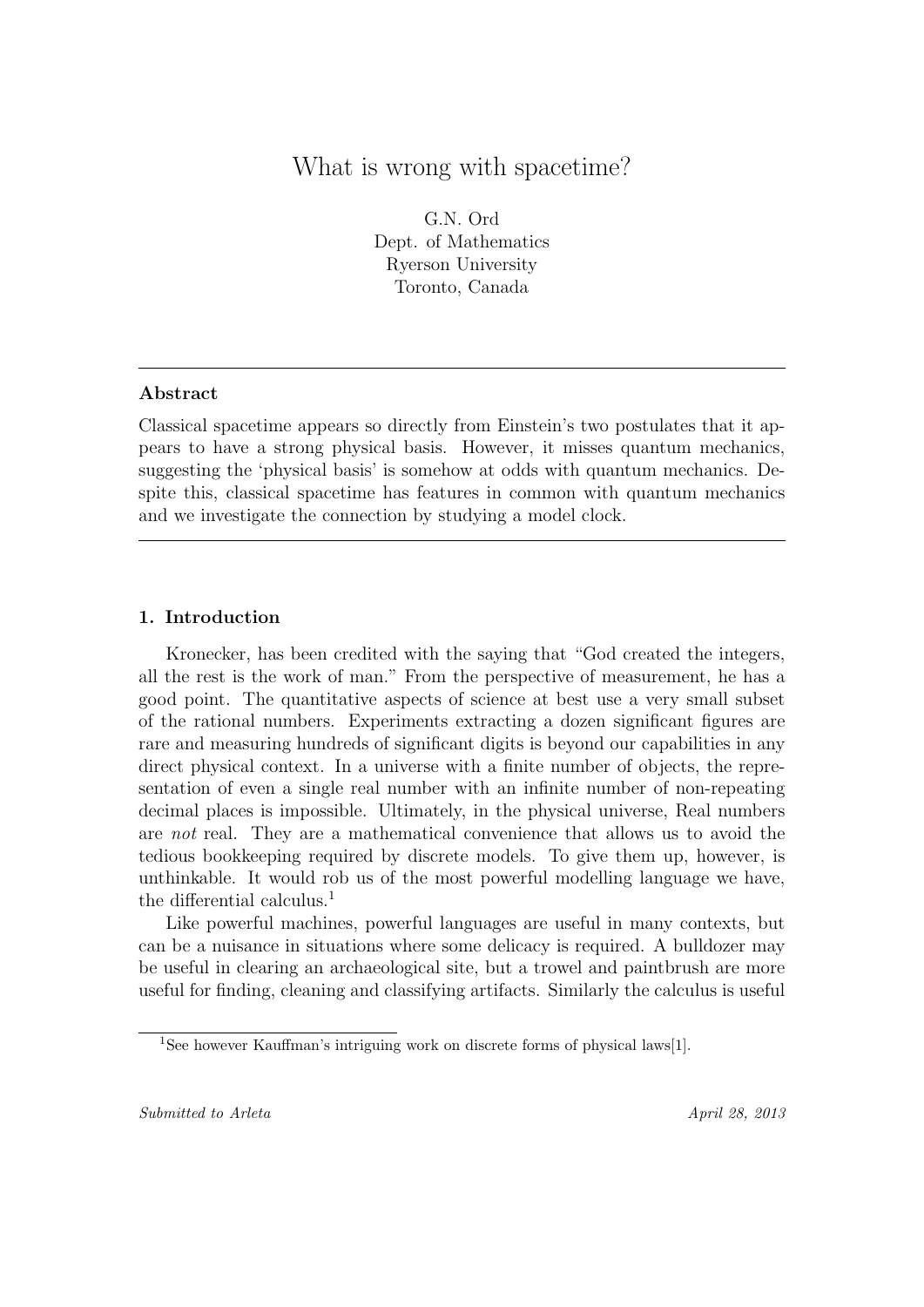# What is wrong with spacetime?

G.N. Ord Dept. of Mathematics Ryerson University Toronto, Canada

### Abstract

Classical spacetime appears so directly from Einstein's two postulates that it appears to have a strong physical basis. However, it misses quantum mechanics, suggesting the 'physical basis' is somehow at odds with quantum mechanics. Despite this, classical spacetime has features in common with quantum mechanics and we investigate the connection by studying a model clock.

### 1. Introduction

Kronecker, has been credited with the saying that "God created the integers, all the rest is the work of man." From the perspective of measurement, he has a good point. The quantitative aspects of science at best use a very small subset of the rational numbers. Experiments extracting a dozen significant figures are rare and measuring hundreds of significant digits is beyond our capabilities in any direct physical context. In a universe with a finite number of objects, the representation of even a single real number with an infinite number of non-repeating decimal places is impossible. Ultimately, in the physical universe, Real numbers are not real. They are a mathematical convenience that allows us to avoid the tedious bookkeeping required by discrete models. To give them up, however, is unthinkable. It would rob us of the most powerful modelling language we have, the differential calculus.<sup>1</sup>

Like powerful machines, powerful languages are useful in many contexts, but can be a nuisance in situations where some delicacy is required. A bulldozer may be useful in clearing an archaeological site, but a trowel and paintbrush are more useful for finding, cleaning and classifying artifacts. Similarly the calculus is useful

<sup>&</sup>lt;sup>1</sup>See however Kauffman's intriguing work on discrete forms of physical laws[1].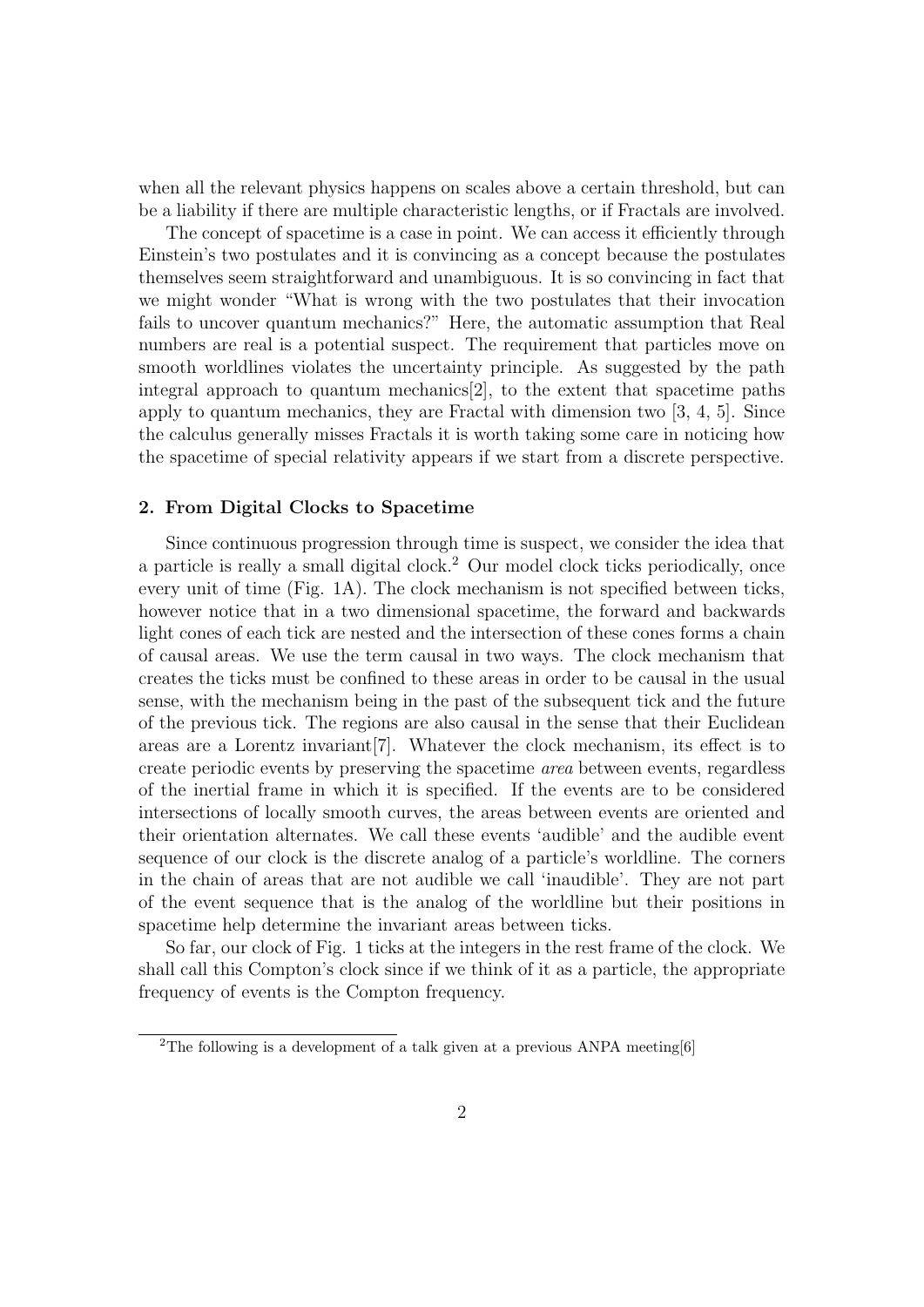when all the relevant physics happens on scales above a certain threshold, but can be a liability if there are multiple characteristic lengths, or if Fractals are involved.

The concept of spacetime is a case in point. We can access it efficiently through Einstein's two postulates and it is convincing as a concept because the postulates themselves seem straightforward and unambiguous. It is so convincing in fact that we might wonder "What is wrong with the two postulates that their invocation fails to uncover quantum mechanics?" Here, the automatic assumption that Real numbers are real is a potential suspect. The requirement that particles move on smooth worldlines violates the uncertainty principle. As suggested by the path integral approach to quantum mechanics[2], to the extent that spacetime paths apply to quantum mechanics, they are Fractal with dimension two [3, 4, 5]. Since the calculus generally misses Fractals it is worth taking some care in noticing how the spacetime of special relativity appears if we start from a discrete perspective.

#### 2. From Digital Clocks to Spacetime

Since continuous progression through time is suspect, we consider the idea that a particle is really a small digital clock.<sup>2</sup> Our model clock ticks periodically, once every unit of time (Fig. 1A). The clock mechanism is not specified between ticks, however notice that in a two dimensional spacetime, the forward and backwards light cones of each tick are nested and the intersection of these cones forms a chain of causal areas. We use the term causal in two ways. The clock mechanism that creates the ticks must be confined to these areas in order to be causal in the usual sense, with the mechanism being in the past of the subsequent tick and the future of the previous tick. The regions are also causal in the sense that their Euclidean areas are a Lorentz invariant[7]. Whatever the clock mechanism, its effect is to create periodic events by preserving the spacetime area between events, regardless of the inertial frame in which it is specified. If the events are to be considered intersections of locally smooth curves, the areas between events are oriented and their orientation alternates. We call these events 'audible' and the audible event sequence of our clock is the discrete analog of a particle's worldline. The corners in the chain of areas that are not audible we call 'inaudible'. They are not part of the event sequence that is the analog of the worldline but their positions in spacetime help determine the invariant areas between ticks.

So far, our clock of Fig. 1 ticks at the integers in the rest frame of the clock. We shall call this Compton's clock since if we think of it as a particle, the appropriate frequency of events is the Compton frequency.

<sup>&</sup>lt;sup>2</sup>The following is a development of a talk given at a previous ANPA meeting [6]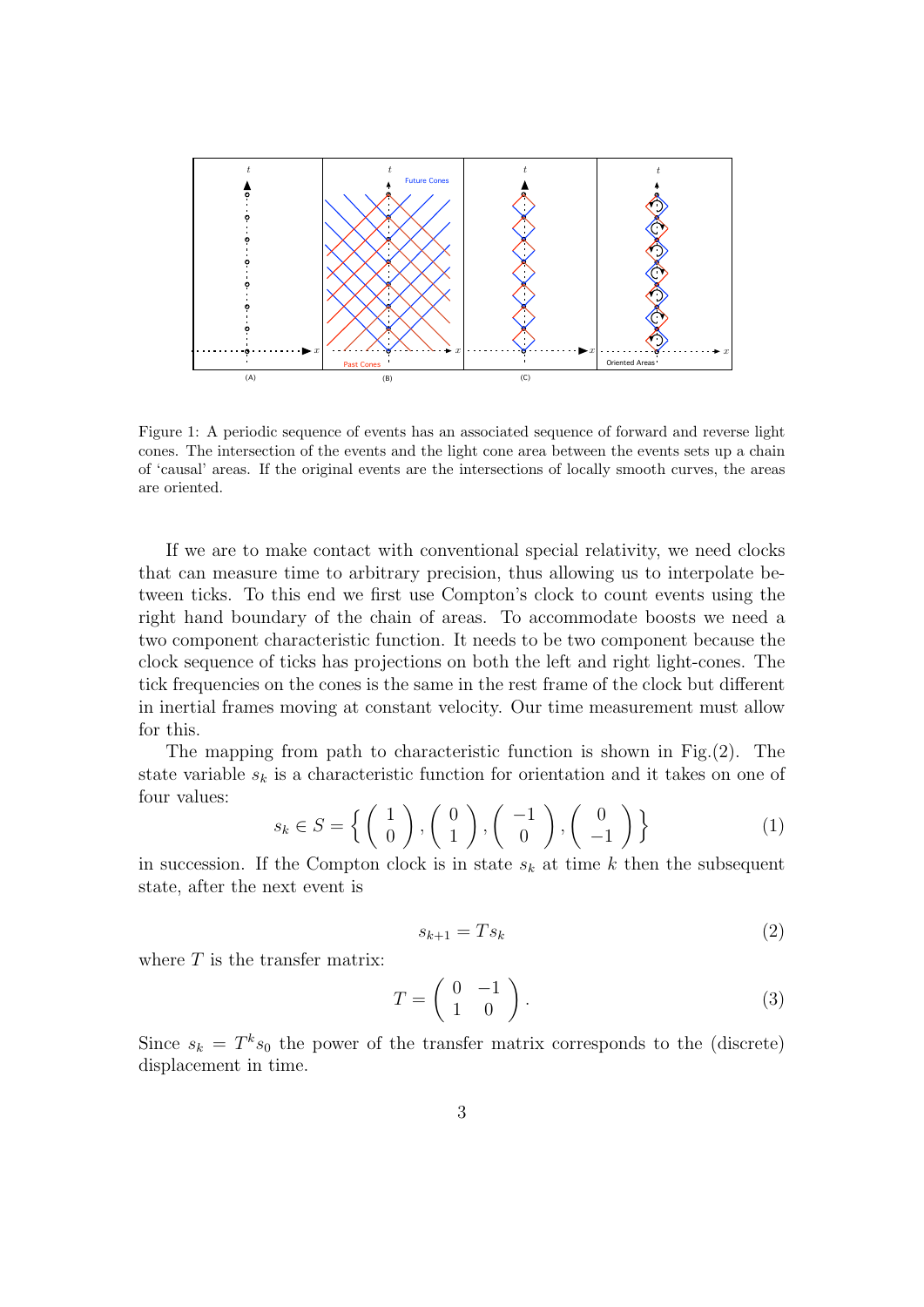

Figure 1: A periodic sequence of events has an associated sequence of forward and reverse light cones. The intersection of the events and the light cone area between the events sets up a chain of 'causal' areas. If the original events are the intersections of locally smooth curves, the areas are oriented.

If we are to make contact with conventional special relativity, we need clocks that can measure time to arbitrary precision, thus allowing us to interpolate between ticks. To this end we first use Compton's clock to count events using the right hand boundary of the chain of areas. To accommodate boosts we need a two component characteristic function. It needs to be two component because the clock sequence of ticks has projections on both the left and right light-cones. The tick frequencies on the cones is the same in the rest frame of the clock but different in inertial frames moving at constant velocity. Our time measurement must allow for this.

The mapping from path to characteristic function is shown in Fig.(2). The state variable  $s_k$  is a characteristic function for orientation and it takes on one of four values:

$$
s_k \in S = \left\{ \begin{pmatrix} 1 \\ 0 \end{pmatrix}, \begin{pmatrix} 0 \\ 1 \end{pmatrix}, \begin{pmatrix} -1 \\ 0 \end{pmatrix}, \begin{pmatrix} 0 \\ -1 \end{pmatrix} \right\}
$$
 (1)

in succession. If the Compton clock is in state  $s_k$  at time k then the subsequent state, after the next event is

$$
s_{k+1} = Ts_k \tag{2}
$$

where  $T$  is the transfer matrix:

$$
T = \left(\begin{array}{cc} 0 & -1 \\ 1 & 0 \end{array}\right). \tag{3}
$$

Since  $s_k = T^k s_0$  the power of the transfer matrix corresponds to the (discrete) displacement in time.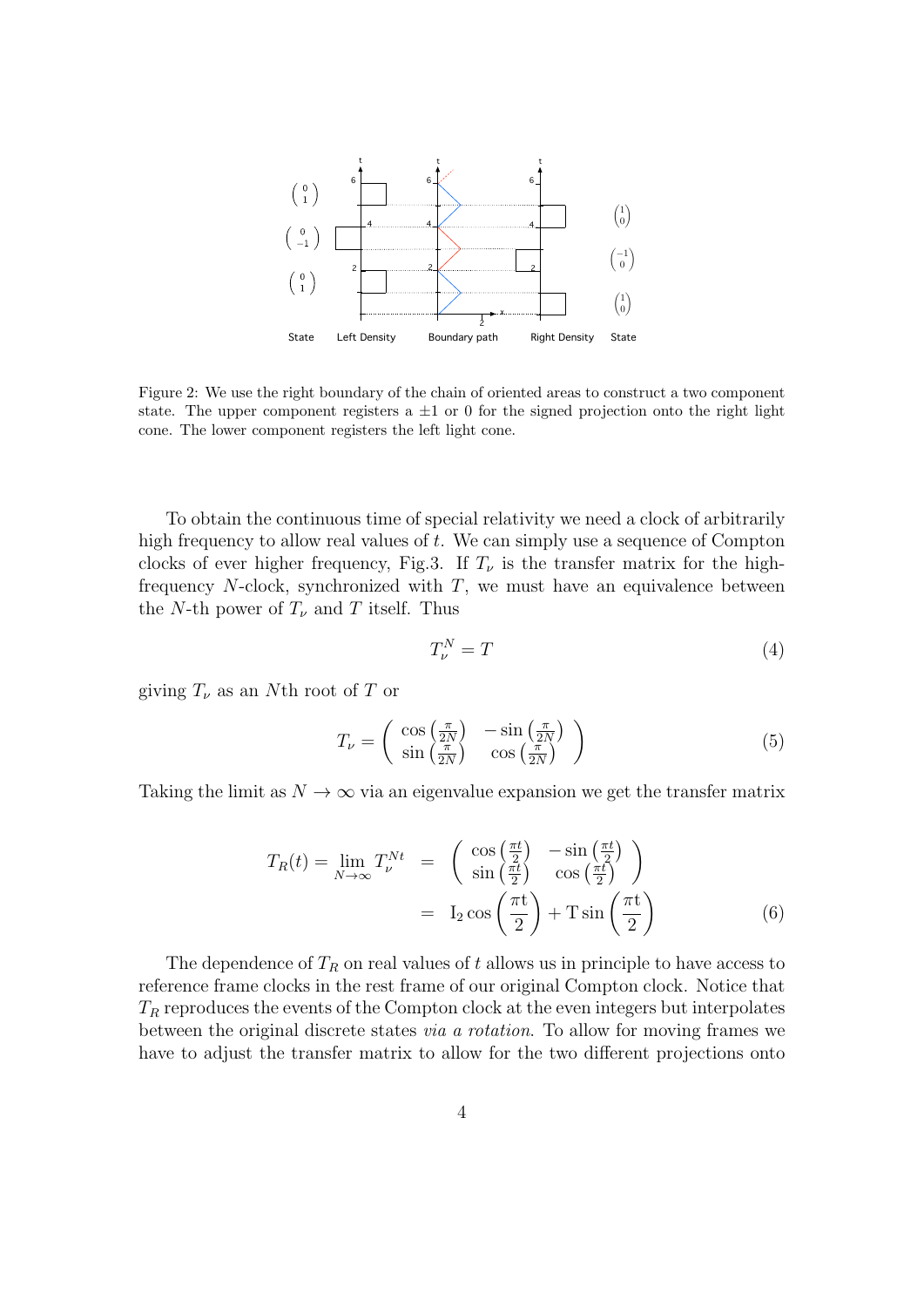

Figure 2: We use the right boundary of the chain of oriented areas to construct a two component state. The upper component registers a  $\pm 1$  or 0 for the signed projection onto the right light cone. The lower component registers the left light cone.

To obtain the continuous time of special relativity we need a clock of arbitrarily high frequency to allow real values of  $t$ . We can simply use a sequence of Compton clocks of ever higher frequency, Fig.3. If  $T_{\nu}$  is the transfer matrix for the highfrequency  $N$ -clock, synchronized with  $T$ , we must have an equivalence between the N-th power of  $T_{\nu}$  and T itself. Thus

$$
T_{\nu}^{N} = T \tag{4}
$$

giving  $T_{\nu}$  as an Nth root of T or

$$
T_{\nu} = \begin{pmatrix} \cos\left(\frac{\pi}{2N}\right) & -\sin\left(\frac{\pi}{2N}\right) \\ \sin\left(\frac{\pi}{2N}\right) & \cos\left(\frac{\pi}{2N}\right) \end{pmatrix}
$$
 (5)

Taking the limit as  $N \to \infty$  via an eigenvalue expansion we get the transfer matrix

$$
T_R(t) = \lim_{N \to \infty} T_{\nu}^{Nt} = \begin{pmatrix} \cos\left(\frac{\pi t}{2}\right) & -\sin\left(\frac{\pi t}{2}\right) \\ \sin\left(\frac{\pi t}{2}\right) & \cos\left(\frac{\pi t}{2}\right) \end{pmatrix}
$$

$$
= I_2 \cos\left(\frac{\pi t}{2}\right) + T \sin\left(\frac{\pi t}{2}\right)
$$
(6)

The dependence of  $T_R$  on real values of t allows us in principle to have access to reference frame clocks in the rest frame of our original Compton clock. Notice that  $T_R$  reproduces the events of the Compton clock at the even integers but interpolates between the original discrete states via a rotation. To allow for moving frames we have to adjust the transfer matrix to allow for the two different projections onto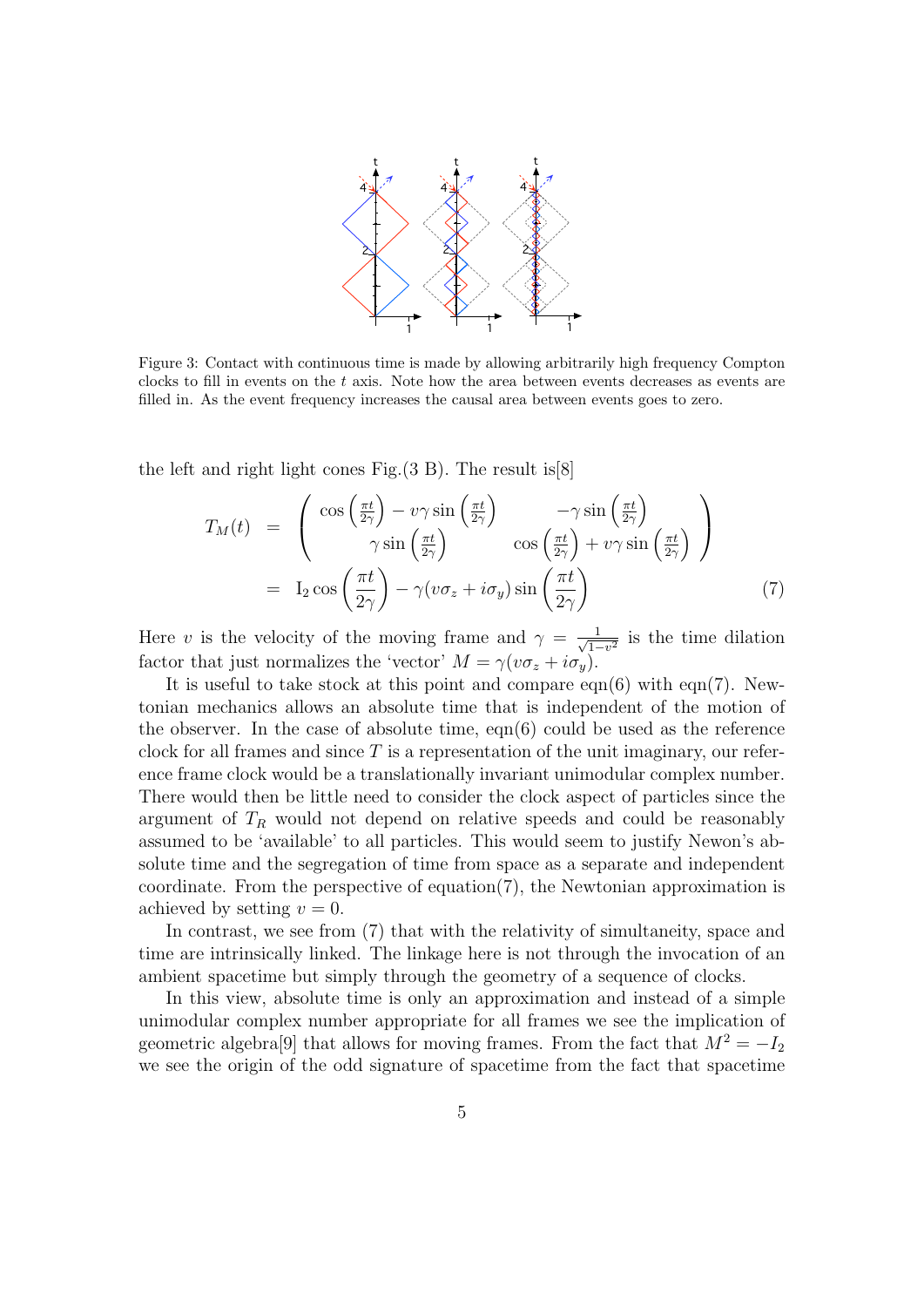

Figure 3: Contact with continuous time is made by allowing arbitrarily high frequency Compton clocks to fill in events on the t axis. Note how the area between events decreases as events are filled in. As the event frequency increases the causal area between events goes to zero.

the left and right light cones Fig.(3 B). The result is[8]

$$
T_M(t) = \begin{pmatrix} \cos\left(\frac{\pi t}{2\gamma}\right) - \nu \gamma \sin\left(\frac{\pi t}{2\gamma}\right) & -\gamma \sin\left(\frac{\pi t}{2\gamma}\right) \\ \gamma \sin\left(\frac{\pi t}{2\gamma}\right) & \cos\left(\frac{\pi t}{2\gamma}\right) + \nu \gamma \sin\left(\frac{\pi t}{2\gamma}\right) \end{pmatrix}
$$
  
= I<sub>2</sub> cos  $\left(\frac{\pi t}{2\gamma}\right) - \gamma(\nu \sigma_z + i\sigma_y) \sin\left(\frac{\pi t}{2\gamma}\right)$  (7)

Here v is the velocity of the moving frame and  $\gamma = \frac{1}{\sqrt{1}}$  $\frac{1}{1-v^2}$  is the time dilation factor that just normalizes the 'vector'  $M = \gamma(v\sigma_z + i\sigma_v)$ .

It is useful to take stock at this point and compare eqn(6) with eqn(7). Newtonian mechanics allows an absolute time that is independent of the motion of the observer. In the case of absolute time,  $eqn(6)$  could be used as the reference clock for all frames and since  $T$  is a representation of the unit imaginary, our reference frame clock would be a translationally invariant unimodular complex number. There would then be little need to consider the clock aspect of particles since the argument of  $T_R$  would not depend on relative speeds and could be reasonably assumed to be 'available' to all particles. This would seem to justify Newon's absolute time and the segregation of time from space as a separate and independent coordinate. From the perspective of equation $(7)$ , the Newtonian approximation is achieved by setting  $v = 0$ .

In contrast, we see from (7) that with the relativity of simultaneity, space and time are intrinsically linked. The linkage here is not through the invocation of an ambient spacetime but simply through the geometry of a sequence of clocks.

In this view, absolute time is only an approximation and instead of a simple unimodular complex number appropriate for all frames we see the implication of geometric algebra<sup>[9]</sup> that allows for moving frames. From the fact that  $M^2 = -I_2$ we see the origin of the odd signature of spacetime from the fact that spacetime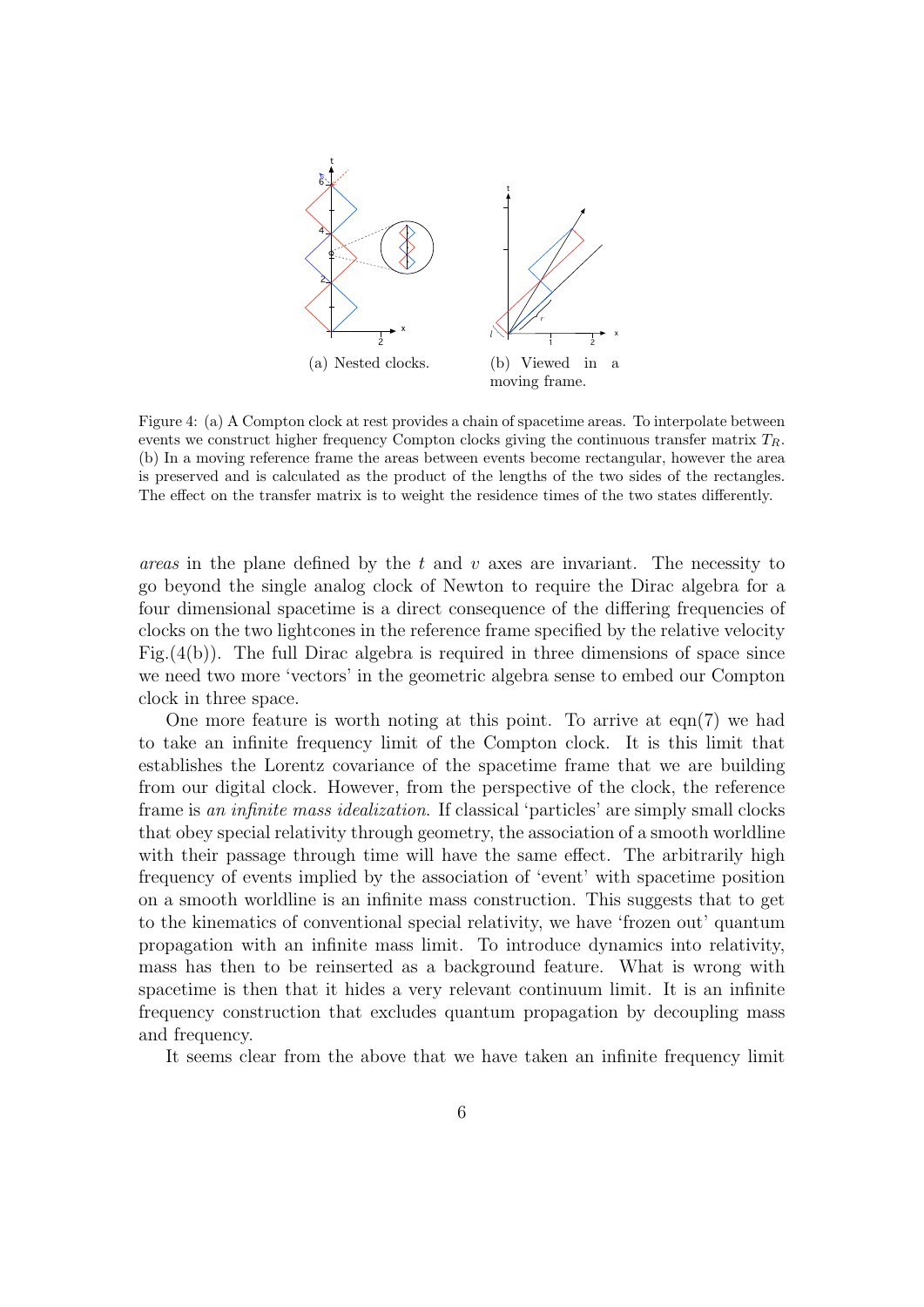

Figure 4: (a) A Compton clock at rest provides a chain of spacetime areas. To interpolate between events we construct higher frequency Compton clocks giving the continuous transfer matrix  $T_R$ . (b) In a moving reference frame the areas between events become rectangular, however the area is preserved and is calculated as the product of the lengths of the two sides of the rectangles. The effect on the transfer matrix is to weight the residence times of the two states differently.

*areas* in the plane defined by the t and v axes are invariant. The necessity to go beyond the single analog clock of Newton to require the Dirac algebra for a four dimensional spacetime is a direct consequence of the differing frequencies of clocks on the two lightcones in the reference frame specified by the relative velocity Fig.(4(b)). The full Dirac algebra is required in three dimensions of space since we need two more 'vectors' in the geometric algebra sense to embed our Compton clock in three space.

One more feature is worth noting at this point. To arrive at eqn(7) we had to take an infinite frequency limit of the Compton clock. It is this limit that establishes the Lorentz covariance of the spacetime frame that we are building from our digital clock. However, from the perspective of the clock, the reference frame is an infinite mass idealization. If classical 'particles' are simply small clocks that obey special relativity through geometry, the association of a smooth worldline with their passage through time will have the same effect. The arbitrarily high frequency of events implied by the association of 'event' with spacetime position on a smooth worldline is an infinite mass construction. This suggests that to get to the kinematics of conventional special relativity, we have 'frozen out' quantum propagation with an infinite mass limit. To introduce dynamics into relativity, mass has then to be reinserted as a background feature. What is wrong with spacetime is then that it hides a very relevant continuum limit. It is an infinite frequency construction that excludes quantum propagation by decoupling mass and frequency.

It seems clear from the above that we have taken an infinite frequency limit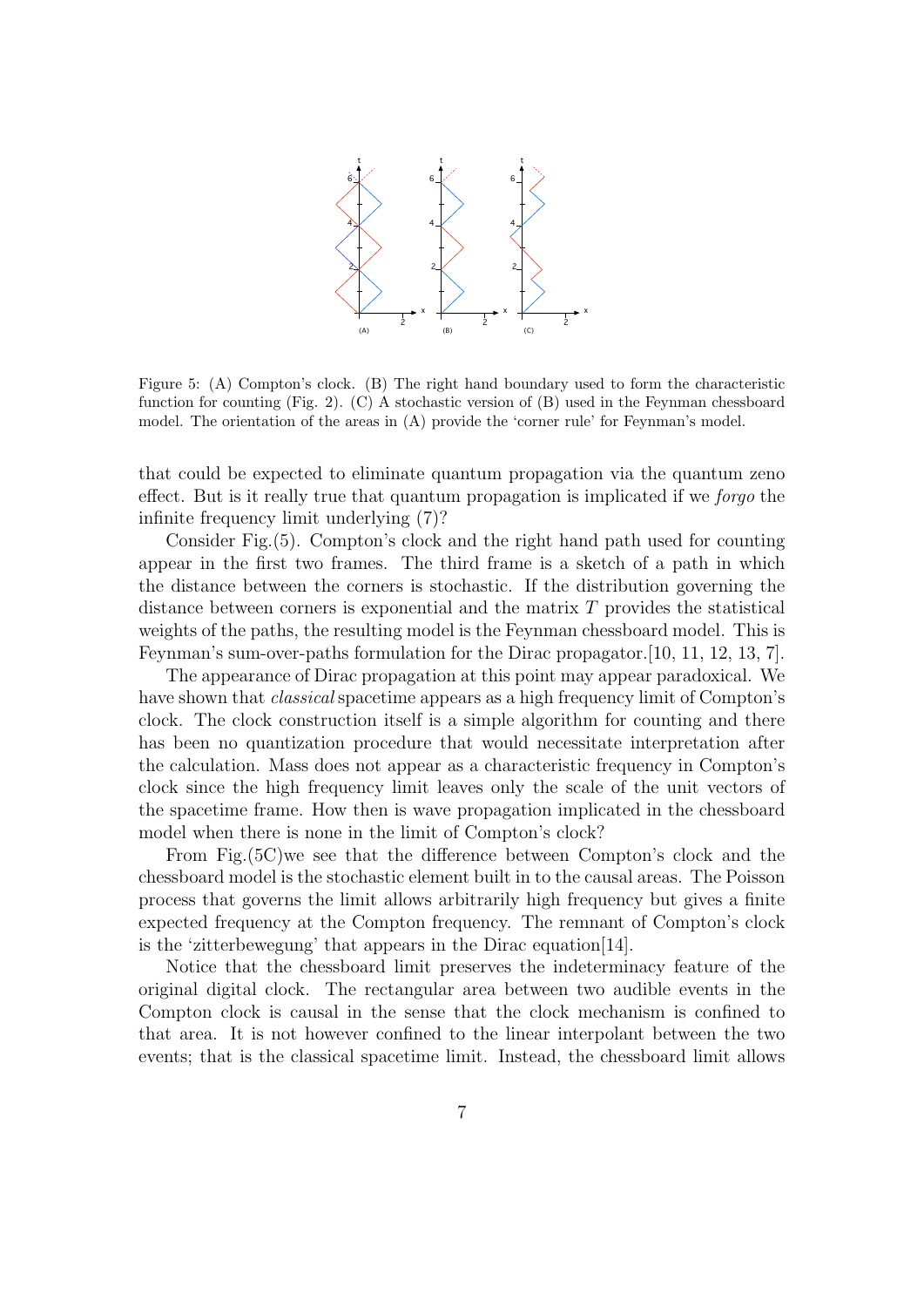

Figure 5: (A) Compton's clock. (B) The right hand boundary used to form the characteristic function for counting (Fig. 2). (C) A stochastic version of (B) used in the Feynman chessboard model. The orientation of the areas in (A) provide the 'corner rule' for Feynman's model.

that could be expected to eliminate quantum propagation via the quantum zeno effect. But is it really true that quantum propagation is implicated if we forgo the infinite frequency limit underlying (7)?

Consider Fig.(5). Compton's clock and the right hand path used for counting appear in the first two frames. The third frame is a sketch of a path in which the distance between the corners is stochastic. If the distribution governing the distance between corners is exponential and the matrix  $T$  provides the statistical weights of the paths, the resulting model is the Feynman chessboard model. This is Feynman's sum-over-paths formulation for the Dirac propagator.[10, 11, 12, 13, 7].

The appearance of Dirac propagation at this point may appear paradoxical. We have shown that *classical* spacetime appears as a high frequency limit of Compton's clock. The clock construction itself is a simple algorithm for counting and there has been no quantization procedure that would necessitate interpretation after the calculation. Mass does not appear as a characteristic frequency in Compton's clock since the high frequency limit leaves only the scale of the unit vectors of the spacetime frame. How then is wave propagation implicated in the chessboard model when there is none in the limit of Compton's clock?

From Fig.(5C)we see that the difference between Compton's clock and the chessboard model is the stochastic element built in to the causal areas. The Poisson process that governs the limit allows arbitrarily high frequency but gives a finite expected frequency at the Compton frequency. The remnant of Compton's clock is the 'zitterbewegung' that appears in the Dirac equation[14].

Notice that the chessboard limit preserves the indeterminacy feature of the original digital clock. The rectangular area between two audible events in the Compton clock is causal in the sense that the clock mechanism is confined to that area. It is not however confined to the linear interpolant between the two events; that is the classical spacetime limit. Instead, the chessboard limit allows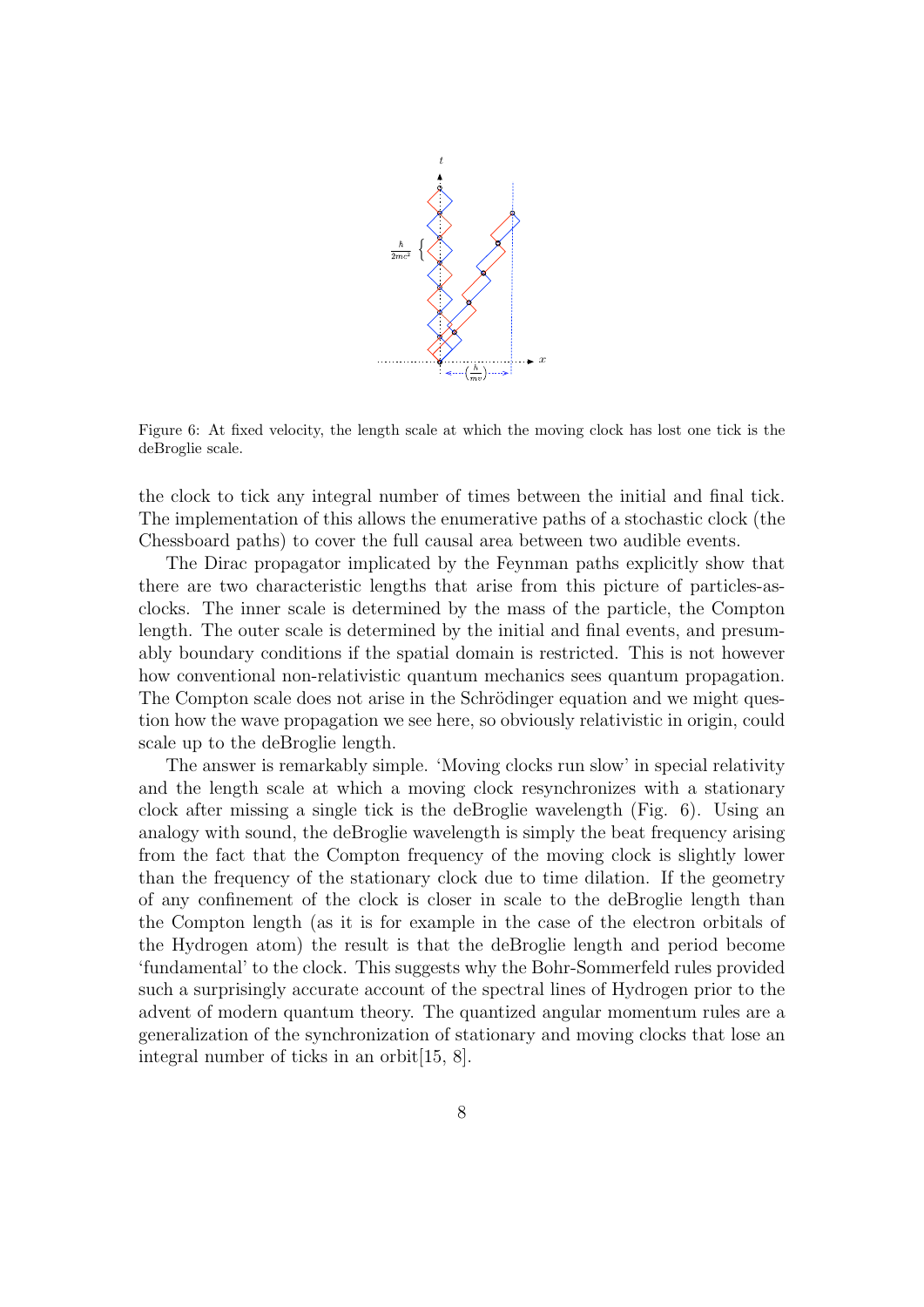

Figure 6: At fixed velocity, the length scale at which the moving clock has lost one tick is the deBroglie scale.

the clock to tick any integral number of times between the initial and final tick. The implementation of this allows the enumerative paths of a stochastic clock (the Chessboard paths) to cover the full causal area between two audible events.

The Dirac propagator implicated by the Feynman paths explicitly show that there are two characteristic lengths that arise from this picture of particles-asclocks. The inner scale is determined by the mass of the particle, the Compton length. The outer scale is determined by the initial and final events, and presumably boundary conditions if the spatial domain is restricted. This is not however how conventional non-relativistic quantum mechanics sees quantum propagation. The Compton scale does not arise in the Schrödinger equation and we might question how the wave propagation we see here, so obviously relativistic in origin, could scale up to the deBroglie length.

The answer is remarkably simple. 'Moving clocks run slow' in special relativity and the length scale at which a moving clock resynchronizes with a stationary clock after missing a single tick is the deBroglie wavelength (Fig. 6). Using an analogy with sound, the deBroglie wavelength is simply the beat frequency arising from the fact that the Compton frequency of the moving clock is slightly lower than the frequency of the stationary clock due to time dilation. If the geometry of any confinement of the clock is closer in scale to the deBroglie length than the Compton length (as it is for example in the case of the electron orbitals of the Hydrogen atom) the result is that the deBroglie length and period become 'fundamental' to the clock. This suggests why the Bohr-Sommerfeld rules provided such a surprisingly accurate account of the spectral lines of Hydrogen prior to the advent of modern quantum theory. The quantized angular momentum rules are a generalization of the synchronization of stationary and moving clocks that lose an integral number of ticks in an orbit[15, 8].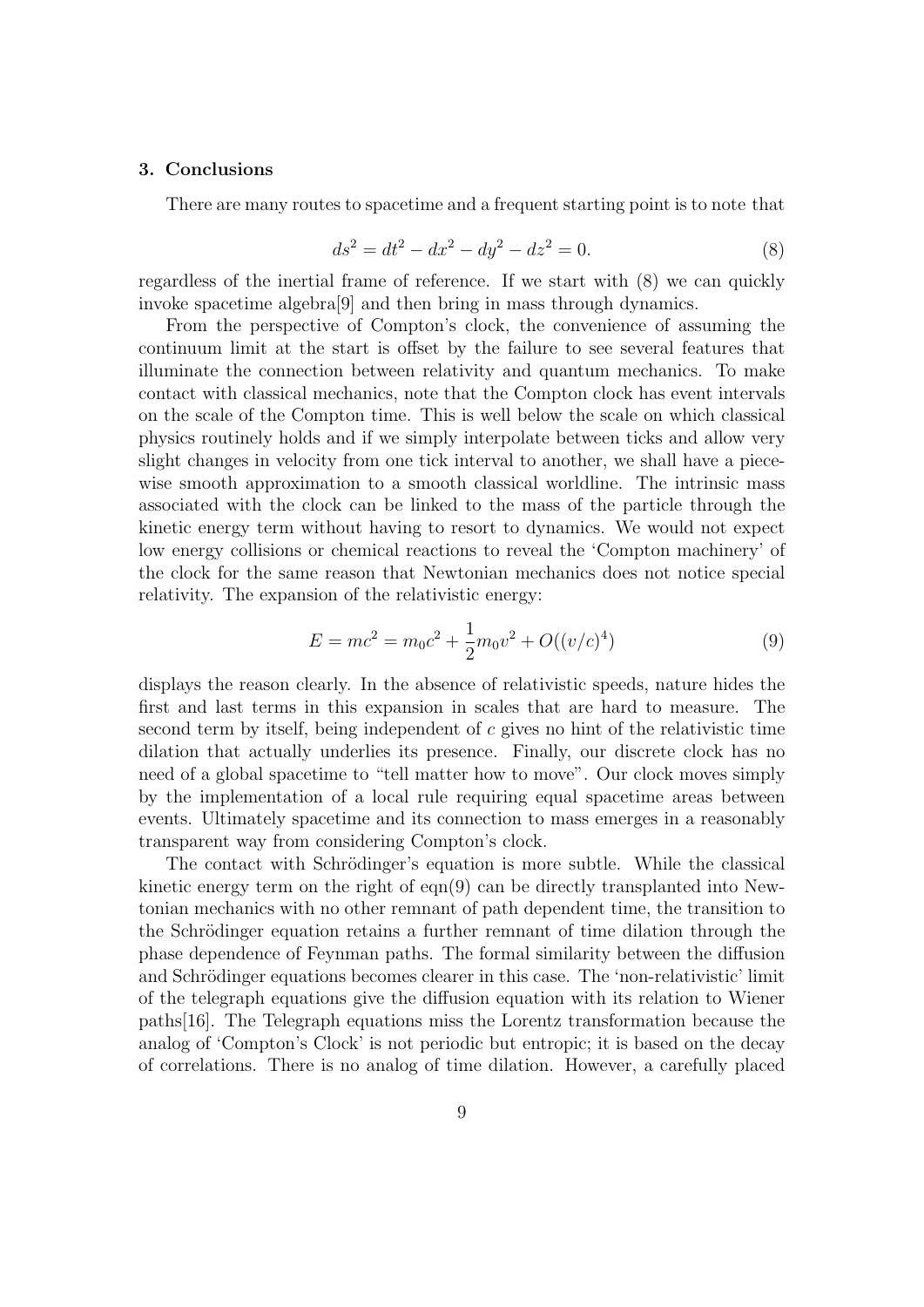#### 3. Conclusions

There are many routes to spacetime and a frequent starting point is to note that

$$
ds^2 = dt^2 - dx^2 - dy^2 - dz^2 = 0.
$$
 (8)

regardless of the inertial frame of reference. If we start with (8) we can quickly invoke spacetime algebra[9] and then bring in mass through dynamics.

From the perspective of Compton's clock, the convenience of assuming the continuum limit at the start is offset by the failure to see several features that illuminate the connection between relativity and quantum mechanics. To make contact with classical mechanics, note that the Compton clock has event intervals on the scale of the Compton time. This is well below the scale on which classical physics routinely holds and if we simply interpolate between ticks and allow very slight changes in velocity from one tick interval to another, we shall have a piecewise smooth approximation to a smooth classical worldline. The intrinsic mass associated with the clock can be linked to the mass of the particle through the kinetic energy term without having to resort to dynamics. We would not expect low energy collisions or chemical reactions to reveal the 'Compton machinery' of the clock for the same reason that Newtonian mechanics does not notice special relativity. The expansion of the relativistic energy:

$$
E = mc^2 = m_0 c^2 + \frac{1}{2} m_0 v^2 + O((v/c)^4)
$$
\n(9)

displays the reason clearly. In the absence of relativistic speeds, nature hides the first and last terms in this expansion in scales that are hard to measure. The second term by itself, being independent of  $c$  gives no hint of the relativistic time dilation that actually underlies its presence. Finally, our discrete clock has no need of a global spacetime to "tell matter how to move". Our clock moves simply by the implementation of a local rule requiring equal spacetime areas between events. Ultimately spacetime and its connection to mass emerges in a reasonably transparent way from considering Compton's clock.

The contact with Schrödinger's equation is more subtle. While the classical kinetic energy term on the right of eqn(9) can be directly transplanted into Newtonian mechanics with no other remnant of path dependent time, the transition to the Schrödinger equation retains a further remnant of time dilation through the phase dependence of Feynman paths. The formal similarity between the diffusion and Schrödinger equations becomes clearer in this case. The 'non-relativistic' limit of the telegraph equations give the diffusion equation with its relation to Wiener paths[16]. The Telegraph equations miss the Lorentz transformation because the analog of 'Compton's Clock' is not periodic but entropic; it is based on the decay of correlations. There is no analog of time dilation. However, a carefully placed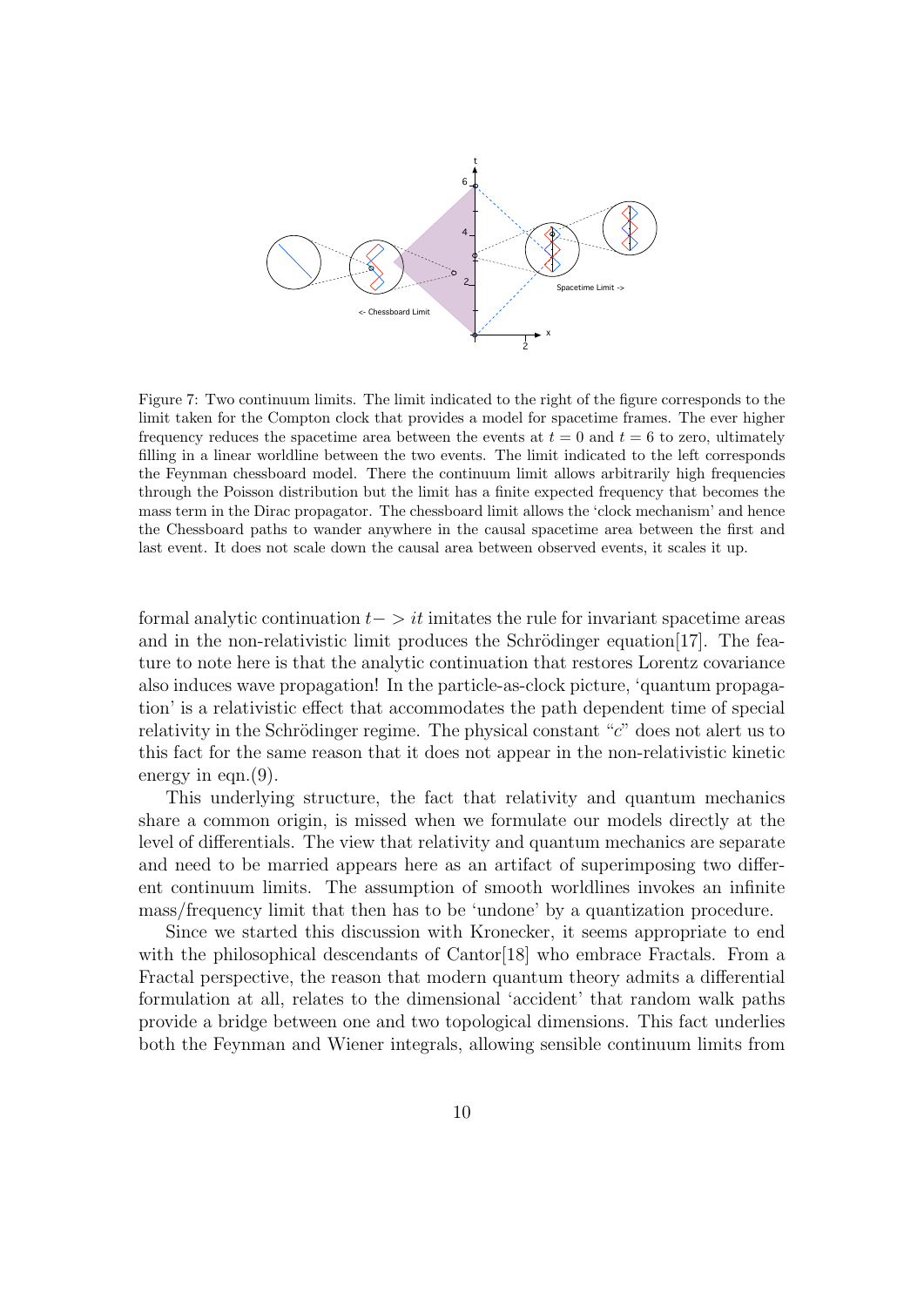

Figure 7: Two continuum limits. The limit indicated to the right of the figure corresponds to the limit taken for the Compton clock that provides a model for spacetime frames. The ever higher frequency reduces the spacetime area between the events at  $t = 0$  and  $t = 6$  to zero, ultimately filling in a linear worldline between the two events. The limit indicated to the left corresponds the Feynman chessboard model. There the continuum limit allows arbitrarily high frequencies through the Poisson distribution but the limit has a finite expected frequency that becomes the mass term in the Dirac propagator. The chessboard limit allows the 'clock mechanism' and hence the Chessboard paths to wander anywhere in the causal spacetime area between the first and last event. It does not scale down the causal area between observed events, it scales it up.

formal analytic continuation  $t-$  > it imitates the rule for invariant spacetime areas and in the non-relativistic limit produces the Schrödinger equation  $[17]$ . The feature to note here is that the analytic continuation that restores Lorentz covariance also induces wave propagation! In the particle-as-clock picture, 'quantum propagation' is a relativistic effect that accommodates the path dependent time of special relativity in the Schrödinger regime. The physical constant " $c$ " does not alert us to this fact for the same reason that it does not appear in the non-relativistic kinetic energy in eqn. (9).

This underlying structure, the fact that relativity and quantum mechanics share a common origin, is missed when we formulate our models directly at the level of differentials. The view that relativity and quantum mechanics are separate and need to be married appears here as an artifact of superimposing two different continuum limits. The assumption of smooth worldlines invokes an infinite mass/frequency limit that then has to be 'undone' by a quantization procedure.

Since we started this discussion with Kronecker, it seems appropriate to end with the philosophical descendants of Cantor [18] who embrace Fractals. From a Fractal perspective, the reason that modern quantum theory admits a differential formulation at all, relates to the dimensional 'accident' that random walk paths provide a bridge between one and two topological dimensions. This fact underlies both the Feynman and Wiener integrals, allowing sensible continuum limits from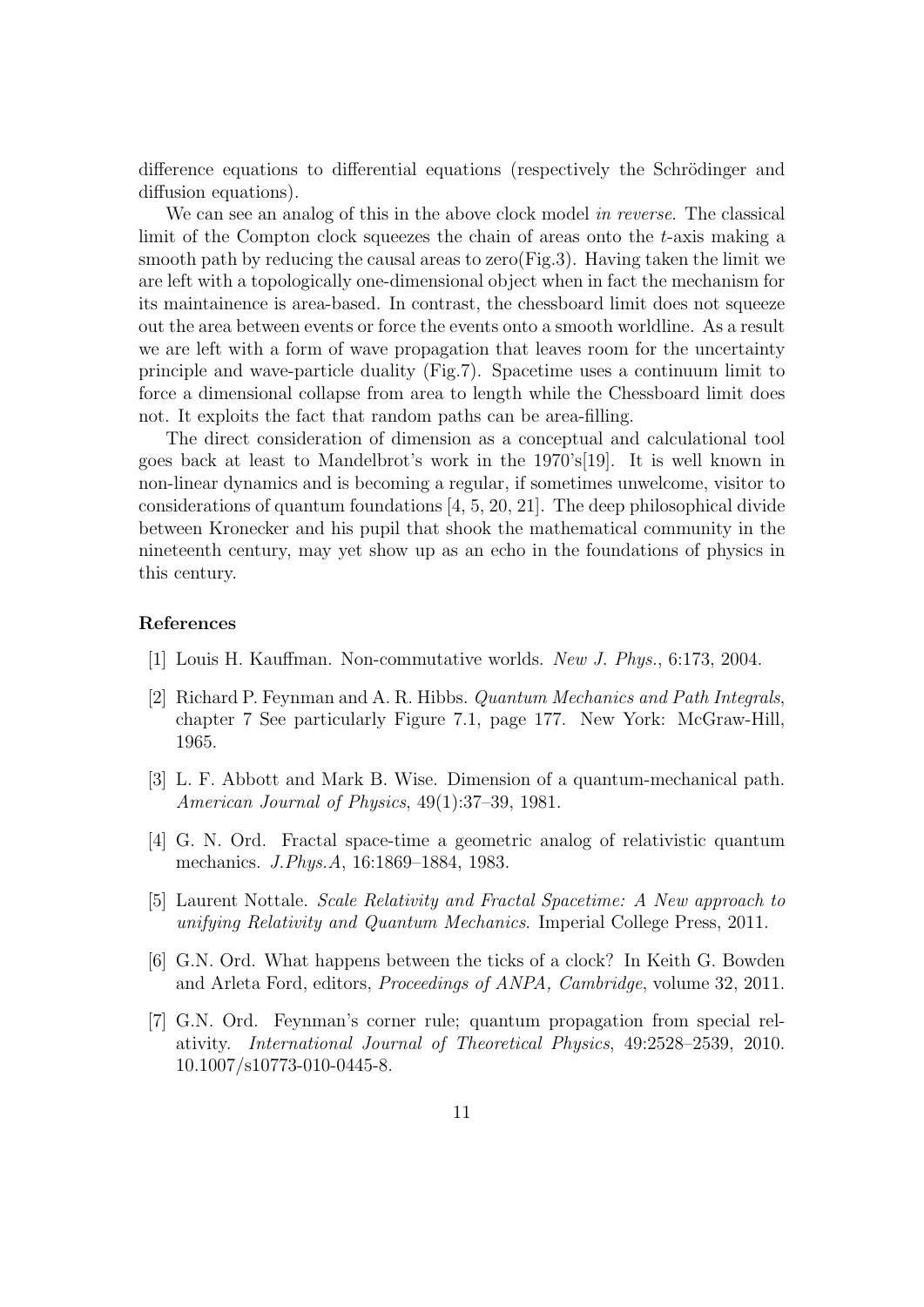difference equations to differential equations (respectively the Schrödinger and diffusion equations).

We can see an analog of this in the above clock model in reverse. The classical limit of the Compton clock squeezes the chain of areas onto the  $t$ -axis making a smooth path by reducing the causal areas to zero(Fig.3). Having taken the limit we are left with a topologically one-dimensional object when in fact the mechanism for its maintainence is area-based. In contrast, the chessboard limit does not squeeze out the area between events or force the events onto a smooth worldline. As a result we are left with a form of wave propagation that leaves room for the uncertainty principle and wave-particle duality (Fig.7). Spacetime uses a continuum limit to force a dimensional collapse from area to length while the Chessboard limit does not. It exploits the fact that random paths can be area-filling.

The direct consideration of dimension as a conceptual and calculational tool goes back at least to Mandelbrot's work in the 1970's[19]. It is well known in non-linear dynamics and is becoming a regular, if sometimes unwelcome, visitor to considerations of quantum foundations [4, 5, 20, 21]. The deep philosophical divide between Kronecker and his pupil that shook the mathematical community in the nineteenth century, may yet show up as an echo in the foundations of physics in this century.

## References

- [1] Louis H. Kauffman. Non-commutative worlds. New J. Phys., 6:173, 2004.
- [2] Richard P. Feynman and A. R. Hibbs. Quantum Mechanics and Path Integrals, chapter 7 See particularly Figure 7.1, page 177. New York: McGraw-Hill, 1965.
- [3] L. F. Abbott and Mark B. Wise. Dimension of a quantum-mechanical path. American Journal of Physics, 49(1):37–39, 1981.
- [4] G. N. Ord. Fractal space-time a geometric analog of relativistic quantum mechanics. J.Phys.A, 16:1869–1884, 1983.
- [5] Laurent Nottale. Scale Relativity and Fractal Spacetime: A New approach to unifying Relativity and Quantum Mechanics. Imperial College Press, 2011.
- [6] G.N. Ord. What happens between the ticks of a clock? In Keith G. Bowden and Arleta Ford, editors, Proceedings of ANPA, Cambridge, volume 32, 2011.
- [7] G.N. Ord. Feynman's corner rule; quantum propagation from special relativity. International Journal of Theoretical Physics, 49:2528–2539, 2010. 10.1007/s10773-010-0445-8.